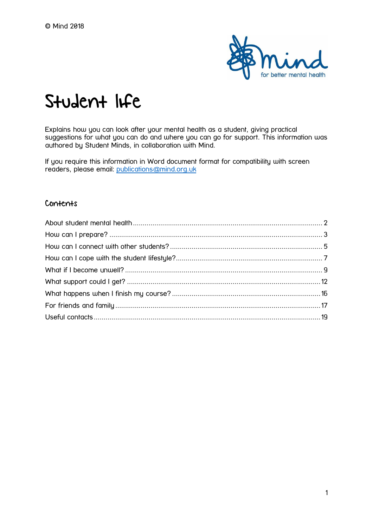

# Student life

Explains how you can look after your mental health as a student, giving practical suggestions for what you can do and where you can go for support. This information was authored by Student Minds, in collaboration with Mind.

If you require this information in Word document format for compatibility with screen readers, please email: [publications@mind.org.uk](mailto:publications@mind.org.uk)

#### Contents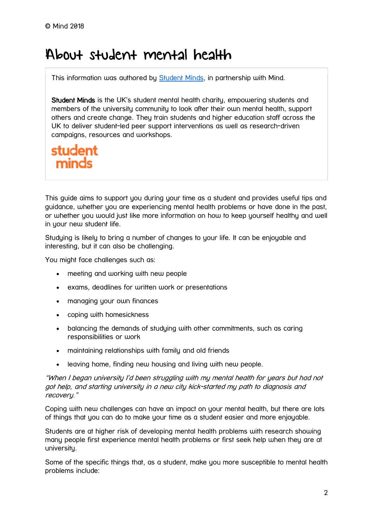## <span id="page-1-0"></span>About student mental health

This information was authored by **Student Minds**, in partnership with Mind.

Student Minds is the UK's student mental health charity, empowering students and members of the university community to look after their own mental health, support others and create change. They train students and higher education staff across the UK to deliver student-led peer support interventions as well as research-driven campaigns, resources and workshops.

## student minds

This guide aims to support you during your time as a student and provides useful tips and guidance, whether you are experiencing mental health problems or have done in the past, or whether you would just like more information on how to keep yourself healthy and well in your new student life.

Studying is likely to bring a number of changes to your life. It can be enjoyable and interesting, but it can also be challenging.

You might face challenges such as:

- meeting and working with new people
- exams, deadlines for written work or presentations
- managing your own finances
- coping with homesickness
- balancing the demands of studying with other commitments, such as caring responsibilities or work
- maintaining relationships with family and old friends
- leaving home, finding new housing and living with new people.

"When I began university I'd been struggling with my mental health for years but had not got help, and starting university in a new city kick-started my path to diagnosis and recovery."

Coping with new challenges can have an impact on your mental health, but there are lots of things that you can do to make your time as a student easier and more enjoyable.

Students are at higher risk of developing mental health problems with research showing many people first experience mental health problems or first seek help when they are at university.

Some of the specific things that, as a student, make you more susceptible to mental health problems include: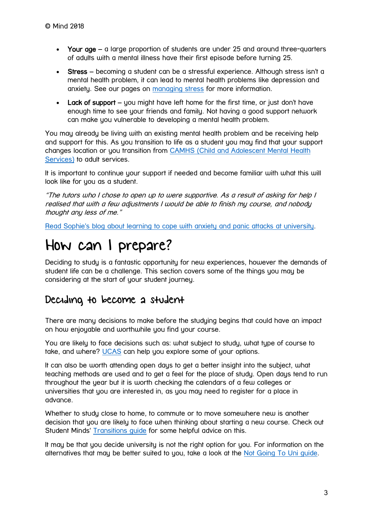- Your age a large proportion of students are under 25 and around three-quarters of adults with a mental illness have their first episode before turning 25.
- Stress becoming a student can be a stressful experience. Although stress isn't a mental health problem, it can lead to mental health problems like depression and anxiety. See our pages on [managing stress](https://www.mind.org.uk/information-support/types-of-mental-health-problems/stress/) for more information.
- Lack of support you might have left home for the first time, or just don't have enough time to see your friends and family. Not having a good support network can make you vulnerable to developing a mental health problem.

You may already be living with an existing mental health problem and be receiving help and support for this. As you transition to life as a student you may find that your support changes location or you transition from [CAMHS \(Child and Adolescent Mental Health](https://www.nhs.uk/using-the-nhs/nhs-services/mental-health-services/child-and-adolescent-mental-health-services-camhs/)  [Services\)](https://www.nhs.uk/using-the-nhs/nhs-services/mental-health-services/child-and-adolescent-mental-health-services-camhs/) to adult services.

It is important to continue your support if needed and become familiar with what this will look like for you as a student.

"The tutors who I chose to open up to were supportive. As a result of asking for help I realised that with a few adjustments I would be able to finish my course, and nobody thought any less of me."

[Read Sophie's blog about learning to cope with anxiety and panic attacks at university.](https://www.mind.org.uk/information-support/your-stories/learning-to-cope-with-anxiety-and-panic-attacks-at-university/#.XP7Ptq_sbAc)

## <span id="page-2-0"></span>How can I prepare?

Deciding to study is a fantastic opportunity for new experiences, however the demands of student life can be a challenge. This section covers some of the things you may be considering at the start of your student journey.

## Deciding to become a student

There are many decisions to make before the studying begins that could have an impact on how enjoyable and worthwhile you find your course.

You are likely to face decisions such as: what subject to study, what type of course to take, and where? [UCAS](https://www.ucas.com/what-are-my-options) can help you explore some of your options.

It can also be worth attending open days to get a better insight into the subject, what teaching methods are used and to get a feel for the place of study. Open days tend to run throughout the year but it is worth checking the calendars of a few colleges or universities that you are interested in, as you may need to register for a place in advance.

Whether to study close to home, to commute or to move somewhere new is another decision that you are likely to face when thinking about starting a new course. Check out Student Minds' [Transitions guide](http://www.studentminds.org.uk/transitions.html) for some helpful advice on this.

It may be that you decide university is not the right option for you. For information on the alternatives that may be better suited to you, take a look at the [Not Going To Uni guide.](https://www.notgoingtouni.co.uk/)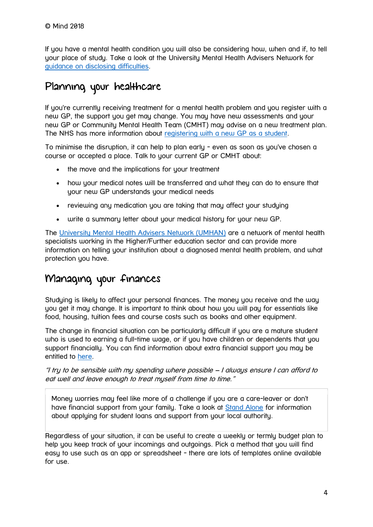If you have a mental health condition you will also be considering how, when and if, to tell your place of study. Take a look at the University Mental Health Advisers Network for [guidance on disclosing difficulties.](https://www.umhan.com/pages/15-disclosing-difficulties)

## Planning your healthcare

If you're currently receiving treatment for a mental health problem and you register with a new GP, the support you get may change. You may have new assessments and your new GP or Community Mental Health Team (CMHT) may advise on a new treatment plan. The NHS has more information about [registering with a new GP as a student.](https://www.nhs.uk/live-well/healthy-body/getting-medical-care-as-a-student/)

To minimise the disruption, it can help to plan early - even as soon as you've chosen a course or accepted a place. Talk to your current GP or CMHT about:

- the move and the implications for your treatment
- how your medical notes will be transferred and what they can do to ensure that your new GP understands your medical needs
- reviewing any medication you are taking that may affect your studying
- write a summary letter about your medical history for your new GP.

The [University Mental Health Advisers Network \(UMHAN\)](https://www.umhan.com/) are a network of mental health specialists working in the Higher/Further education sector and can provide more information on telling your institution about a diagnosed mental health problem, and what protection you have.

## Managing your finances

Studying is likely to affect your personal finances. The money you receive and the way you get it may change. It is important to think about how you will pay for essentials like food, housing, tuition fees and course costs such as books and other equipment.

The change in financial situation can be particularly difficult if you are a mature student who is used to earning a full-time wage, or if you have children or dependents that you support financially. You can find information about extra financial support you may be entitled to [here.](https://www.gov.uk/student-finance/extra-help)

"I try to be sensible with my spending where possible – I always ensure I can afford to eat well and leave enough to treat myself from time to time."

Money worries may feel like more of a challenge if you are a care-leaver or don't have financial support from your family. Take a look at [Stand Alone](https://www.standalone.org.uk/guides/student-guide/#independent-status) for information about applying for student loans and support from your local authority.

Regardless of your situation, it can be useful to create a weekly or termly budget plan to help you keep track of your incomings and outgoings. Pick a method that you will find easy to use such as an app or spreadsheet - there are lots of templates online available for use.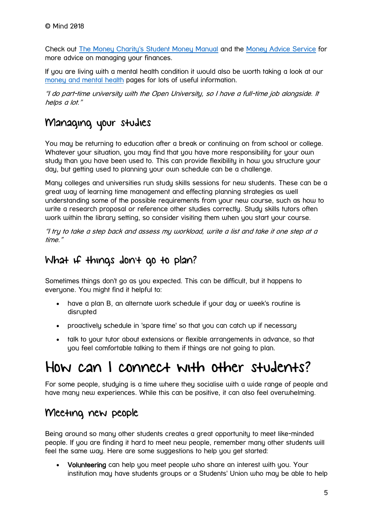Check out [The Money Charity's Student Money Manual](http://themoneycharity.org.uk/resources/) and the [Money Advice Service](https://www.moneyadviceservice.org.uk/en) for more advice on managing your finances.

If you are living with a mental health condition it would also be worth taking a look at our [money and mental health](https://www.mind.org.uk/information-support/tips-for-everyday-living/money-and-mental-health/#.W2hynyhKiUk) pages for lots of useful information.

"I do part-time university with the Open University, so I have a full-time job alongside. It helps a lot."

## Managing your studies

You may be returning to education after a break or continuing on from school or college. Whatever your situation, you may find that you have more responsibility for your own study than you have been used to. This can provide flexibility in how you structure your day, but getting used to planning your own schedule can be a challenge.

Many colleges and universities run study skills sessions for new students. These can be a great way of learning time management and effecting planning strategies as well understanding some of the possible requirements from your new course, such as how to write a research proposal or reference other studies correctly. Study skills tutors often work within the library setting, so consider visiting them when you start your course.

"I try to take a step back and assess my workload, write a list and take it one step at a time."

## What if things don't go to plan?

Sometimes things don't go as you expected. This can be difficult, but it happens to everyone. You might find it helpful to:

- have a plan B, an alternate work schedule if your day or week's routine is disrupted
- proactively schedule in 'spare time' so that you can catch up if necessary
- talk to your tutor about extensions or flexible arrangements in advance, so that you feel comfortable talking to them if things are not going to plan.

## <span id="page-4-0"></span>How can I connect with other students?

For some people, studying is a time where they socialise with a wide range of people and have many new experiences. While this can be positive, it can also feel overwhelming.

## Meeting new people

Being around so many other students creates a great opportunity to meet like-minded people. If you are finding it hard to meet new people, remember many other students will feel the same way. Here are some suggestions to help you get started:

 Volunteering can help you meet people who share an interest with you. Your institution may have students groups or a Students' Union who may be able to help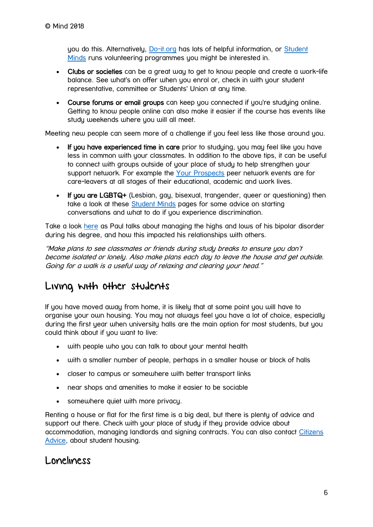you do this. Alternatively, [Do-it.org](https://do-it.org/) has lots of helpful information, or [Student](http://www.studentminds.org.uk/studentvolunteering.html)  [Minds](http://www.studentminds.org.uk/studentvolunteering.html) runs volunteering programmes you might be interested in.

- Clubs or societies can be a great way to get to know people and create a work-life balance. See what's on offer when you enrol or, check in with your student representative, committee or Students' Union at any time.
- Course forums or email groups can keep you connected if you're studying online. Getting to know people online can also make it easier if the course has events like study weekends where you will all meet.

Meeting new people can seem more of a challenge if you feel less like those around you.

- If you have experienced time in care prior to studying, you may feel like you have less in common with your classmates. In addition to the above tips, it can be useful to connect with groups outside of your place of study to help strengthen your support network. For example the [Your Prospects](https://www.reesfoundation.org/our-services/networking/developing-your-prospects/) peer network events are for care-leavers at all stages of their educational, academic and work lives.
- If you are LGBTQ+ (Lesbian, gay, bisexual, trangender, queer or questioning) then take a look at these [Student Minds](http://www.studentminds.org.uk/lgbtq.html) pages for some advice on starting conversations and what to do if you experience discrimination.

Take a look [here](https://www.mind.org.uk/information-support/your-stories/the-high-and-lows-of-my-bipolar/#.W2mQtChKiUk) as Paul talks about managing the highs and lows of his bipolar disorder during his degree, and how this impacted his relationships with others.

"Make plans to see classmates or friends during study breaks to ensure you don't become isolated or lonely. Also make plans each day to leave the house and get outside. Going for a walk is a useful way of relaxing and clearing your head."

## Living with other students

If you have moved away from home, it is likely that at some point you will have to organise your own housing. You may not always feel you have a lot of choice, especially during the first year when university halls are the main option for most students, but you could think about if you want to live:

- with people who you can talk to about your mental health
- with a smaller number of people, perhaps in a smaller house or block of halls
- closer to campus or somewhere with better transport links
- near shops and amenities to make it easier to be sociable
- somewhere quiet with more privacy.

Renting a house or flat for the first time is a big deal, but there is plenty of advice and support out there. Check with your place of study if they provide advice about accommodation, managing landlords and signing contracts. You can also contact [Citizens](https://www.citizensadvice.org.uk/housing/renting-a-home/student-housing/)  [Advice,](https://www.citizensadvice.org.uk/housing/renting-a-home/student-housing/) about student housing.

### Loneliness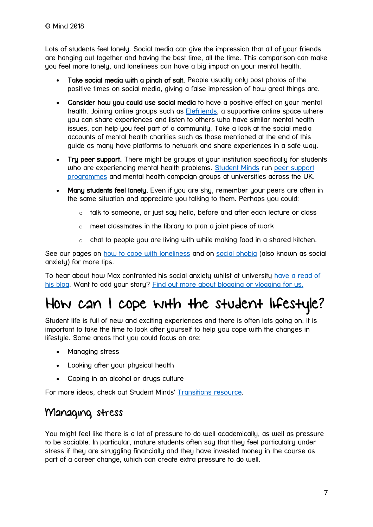Lots of students feel lonely. Social media can give the impression that all of your friends are hanging out together and having the best time, all the time. This comparison can make you feel more lonely, and loneliness can have a big impact on your mental health.

- Take social media with a pinch of salt. People usually only post photos of the positive times on social media, giving a false impression of how great things are.
- Consider how you could use social media to have a positive effect on your mental health. Joining online groups such as **Elefriends**, a supportive online space where you can share experiences and listen to others who have similar mental health issues, can help you feel part of a community. Take a look at the social media accounts of mental health charities such as those mentioned at the end of this guide as many have platforms to network and share experiences in a safe way.
- Try peer support. There might be groups at your institution specifically for students who are experiencing mental health problems. [Student Minds](http://www.studentminds.org.uk/) run peer support [programmes](https://www.studentminds.org.uk/peersupportgroups.html) and mental health campaign groups at universities across the UK.
- Many students feel lonely. Even if you are shy, remember your peers are often in the same situation and appreciate you talking to them. Perhaps you could:
	- $\circ$  talk to someone, or just say hello, before and after each lecture or class
	- $\circ$  meet classmates in the library to plan a joint piece of work
	- o chat to people you are living with while making food in a shared kitchen.

See our pages on [how to cope with loneliness](https://www.mind.org.uk/information-support/tips-for-everyday-living/loneliness/) and on [social phobia](https://www.mind.org.uk/information-support/types-of-mental-health-problems/phobias/types-of-phobia/#social) (also known as social anxiety) for more tips.

To hear about how Max confronted his social anxiety whilst at university [have a read of](https://www.mind.org.uk/information-support/your-stories/confronting-my-social-anxiety-at-university/#.W2GDHlBKiUk)  [his blog.](https://www.mind.org.uk/information-support/your-stories/confronting-my-social-anxiety-at-university/#.W2GDHlBKiUk) Want to add your story? [Find out more about blogging or vlogging for us.](https://www.mind.org.uk/information-support/your-stories/about-the-mind-blog/telling-your-story-blogging-or-vlogging-for-mind/)

## <span id="page-6-0"></span>How can I cope with the student lifestyle?

Student life is full of new and exciting experiences and there is often lots going on. It is important to take the time to look after yourself to help you cope with the changes in lifestyle. Some areas that you could focus on are:

- Managing stress
- Looking after your physical health
- Coping in an alcohol or drugs culture

For more ideas, check out Student Minds' [Transitions resource.](http://www.studentminds.org.uk/transitions.html)

## Managing stress

You might feel like there is a lot of pressure to do well academically, as well as pressure to be sociable. In particular, mature students often say that they feel particulalry under stress if they are struggling financially and they have invested money in the course as part of a career change, which can create extra pressure to do well.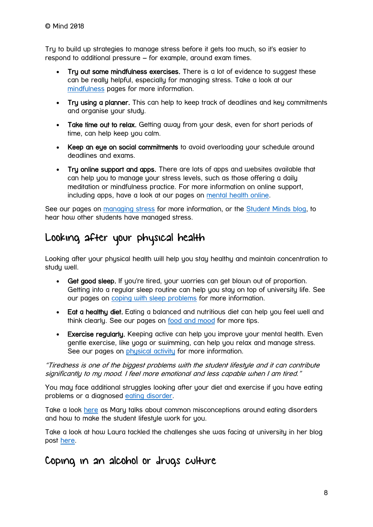Try to build up strategies to manage stress before it gets too much, so it's easier to respond to additional pressure – for example, around exam times.

- Try out some mindfulness exercises. There is a lot of evidence to suggest these can be really helpful, especially for managing stress. Take a look at our [mindfulness](https://www.mind.org.uk/information-support/drugs-and-treatments/mindfulness/about-mindfulness/#.W2l-DyhKiUk) pages for more information.
- Try using a planner. This can help to keep track of deadlines and key commitments and organise your study.
- Take time out to relax. Getting away from your desk, even for short periods of time, can help keep you calm.
- Keep an eye on social commitments to avoid overloading your schedule around deadlines and exams.
- Try online support and apps. There are lots of apps and websites available that can help you to manage your stress levels, such as those offering a daily meditation or mindfulness practice. For more information on online support, including apps, have a look at our pages on [mental health online.](https://www.mind.org.uk/information-support/tips-for-everyday-living/online-safety-and-support/#.W4_ul020WM8)

See our pages on [managing stress](https://www.mind.org.uk/information-support/types-of-mental-health-problems/stress/) for more information, or the [Student Minds blog,](https://studentmindsorg.blogspot.com/search?q=stress) to hear how other students have managed stress.

## Looking after your physical health

Looking after your physical health will help you stay healthy and maintain concentration to study well.

- Get good sleep. If you're tired, your worries can get blown out of proportion. Getting into a regular sleep routine can help you stay on top of university life. See our pages on [coping with sleep problems](https://mind.org.uk/information-support/types-of-mental-health-problems/sleep-problems/) for more information.
- Eat a healthy diet. Eating a balanced and nutritious diet can help you feel well and think clearly. See our pages on [food and mood](https://mind.org.uk/information-support/tips-for-everyday-living/food-and-mood/) for more tips.
- Exercise regularly. Keeping active can help you improve your mental health. Even gentle exercise, like yoga or swimming, can help you relax and manage stress. See our pages on [physical activity](https://mind.org.uk/information-support/tips-for-everyday-living/physical-activity-sport-and-exercise/) for more information.

"Tiredness is one of the biggest problems with the student lifestyle and it can contribute significantly to my mood. I feel more emotional and less capable when I am tired."

You may face additional struggles looking after your diet and exercise if you have eating problems or a diagnosed [eating disorder.](https://www.mind.org.uk/information-support/types-of-mental-health-problems/eating-problems/)

Take a look [here](https://studentmindsorg.blogspot.com/2018/03/misconceptions-about-eating-disorders.html) as Mary talks about common misconceptions around eating disorders and how to make the student lifestyle work for you.

Take a look at how Laura tackled the challenges she was facing at university in her blog post [here.](https://www.mind.org.uk/information-support/your-stories/rugby-tackling-mental-health/#.W2F98FBKiUk)

### Coping in an alcohol or drugs culture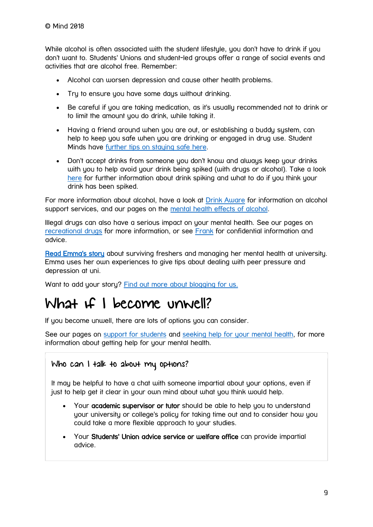While alcohol is often associated with the student lifestule, you don't have to drink if you don't want to. Students' Unions and student-led groups offer a range of social events and activities that are alcohol free. Remember:

- Alcohol can worsen depression and cause other health problems.
- Try to ensure you have some days without drinking.
- Be careful if you are taking medication, as it's usually recommended not to drink or to limit the amount you do drink, while taking it.
- Having a friend around when you are out, or establishing a buddy system, can help to keep you safe when you are drinking or engaged in drug use. Student Minds have [further tips on staying safe here.](http://www.studentminds.org.uk/transitions.html)
- Don't accept drinks from someone you don't know and always keep your drinks with you to help avoid your drink being spiked (with drugs or alcohol). Take a look [here](https://www.nhs.uk/live-well/healthy-body/drink-spiking-and-date-rape-drugs/) for further information about drink spiking and what to do if you think your drink has been spiked.

For more information about alcohol, have a look at [Drink Aware](https://www.drinkaware.co.uk/understand-your-drinking/is-your-drinking-a-problem/alcohol-support-services) for information on alcohol support services, and our pages on the [mental health effects of alcohol.](https://www.mind.org.uk/information-support/types-of-mental-health-problems/drugs-recreational-drugs-alcohol/effect-on-mental-health/)

Illegal drugs can also have a serious impact on your mental health. See our pages on [recreational drugs](https://www.mind.org.uk/information-support/types-of-mental-health-problems/drugs-recreational-drugs-alcohol/) for more information, or see [Frank](http://www.talktofrank.com/) for confidential information and advice.

[Read Emma's story](https://www.mind.org.uk/information-support/your-stories/surviving-freshers-coping-with-mental-health-problems-at-university/#.VsRD5UCKTiQ) about surviving freshers and managing her mental health at university. Emma uses her own experiences to give tips about dealing with peer pressure and depression at uni.

Want to add your story? Find out more about blogging for us.

## <span id="page-8-0"></span>What if I become unwell?

If you become unwell, there are lots of options you can consider.

See our pages on [support for students](https://www.mind.org.uk/information-support/tips-for-everyday-living/student-life/support-and-treatment/) and [seeking help for your mental health,](https://www.mind.org.uk/information-support/guides-to-support-and-services/seeking-help-for-a-mental-health-problem/) for more information about getting help for your mental health.

#### Who can I talk to about my options?

It may be helpful to have a chat with someone impartial about your options, even if just to help get it clear in your own mind about what you think would help.

- Your **academic supervisor or tutor** should be able to help you to understand your university or college's policy for taking time out and to consider how you could take a more flexible approach to your studies.
- Your Students' Union advice service or welfare office can provide impartial advice.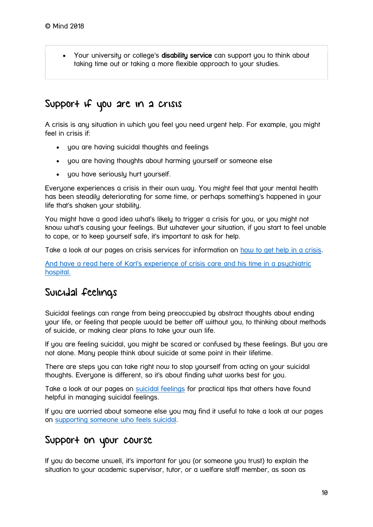Your university or college's disability service can support you to think about taking time out or taking a more flexible approach to your studies.

### Support if you are in a crisis

A crisis is any situation in which you feel you need urgent help. For example, you might feel in crisis if:

- you are having suicidal thoughts and feelings
- you are having thoughts about harming yourself or someone else
- you have seriously hurt yourself.

Everyone experiences a crisis in their own way. You might feel that your mental health has been steadily deteriorating for some time, or perhaps something's happened in your life that's shaken your stability.

You might have a good idea what's likely to trigger a crisis for you, or you might not know what's causing your feelings. But whatever your situation, if you start to feel unable to cope, or to keep yourself safe, it's important to ask for help.

Take a look at our pages on crisis services for information on [how to get help in a crisis.](https://www.mind.org.uk/information-support/guides-to-support-and-services/crisis-services/help-in-a-crisis/#.W2GSTVBKiUk)

[And have a read here of Karl's experience of crisis care and his time in a psychiatric](https://www.mind.org.uk/information-support/your-stories/my-experience-of-crisis-care-depression-and-speaking-out/#.W2rIIChKiUk)  [hospital.](https://www.mind.org.uk/information-support/your-stories/my-experience-of-crisis-care-depression-and-speaking-out/#.W2rIIChKiUk)

## Suicidal feelings

Suicidal feelings can range from being preoccupied by abstract thoughts about ending your life, or feeling that people would be better off without you, to thinking about methods of suicide, or making clear plans to take your own life.

If you are feeling suicidal, you might be scared or confused by these feelings. But you are not alone. Many people think about suicide at some point in their lifetime.

There are steps you can take right now to stop yourself from acting on your suicidal thoughts. Everyone is different, so it's about finding what works best for you.

Take a look at our pages on [suicidal feelings](https://www.mind.org.uk/information-support/types-of-mental-health-problems/suicidal-feelings/) for practical tips that others have found helpful in managing suicidal feelings.

If you are worried about someone else you may find it useful to take a look at our pages on [supporting someone who feels suicidal.](https://www.mind.org.uk/information-support/helping-someone-else/supporting-someone-who-feels-suicidal/#.W2Gar1BKiUl)

## Support on your course

If you do become unwell, it's important for you (or someone you trust) to explain the situation to your academic supervisor, tutor, or a welfare staff member, as soon as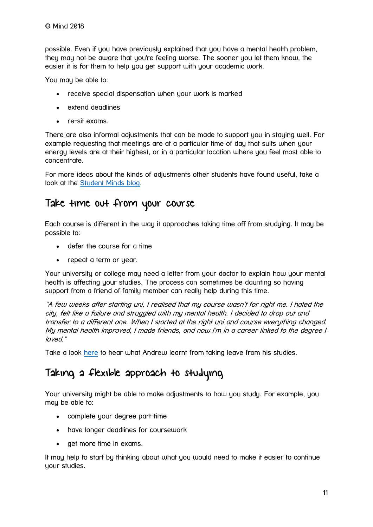possible. Even if you have previously explained that you have a mental health problem, they may not be aware that you're feeling worse. The sooner you let them know, the easier it is for them to help you get support with your academic work.

You may be able to:

- receive special dispensation when your work is marked
- extend deadlines
- re-sit exams.

There are also informal adjustments that can be made to support you in staying well. For example requesting that meetings are at a particular time of day that suits when your energy levels are at their highest, or in a particular location where you feel most able to concentrate.

For more ideas about the kinds of adjustments other students have found useful, take a look at the [Student Minds blog.](https://studentmindsorg.blogspot.com/search?q=adjustments)

### Take time out from your course

Each course is different in the way it approaches taking time off from studying. It may be possible to:

- defer the course for a time
- repeat a term or year.

Your university or college may need a letter from your doctor to explain how your mental health is affecting your studies. The process can sometimes be daunting so having support from a friend of family member can really help during this time.

"A few weeks after starting uni, I realised that my course wasn't for right me. I hated the city, felt like a failure and struggled with my mental health. I decided to drop out and transfer to a different one. When I started at the right uni and course everything changed. My mental health improved, I made friends, and now I'm in a career linked to the degree I loved."

Take a look [here](https://studentmindsorg.blogspot.com/2015/11/the-lessons-i-learnt-in-taking-medical.html) to hear what Andrew learnt from taking leave from his studies.

## Taking a flexible approach to studying

Your university might be able to make adjustments to how you study. For example, you may be able to:

- complete your degree part-time
- have longer deadlines for coursework
- **e** get more time in exams.

It may help to start by thinking about what you would need to make it easier to continue your studies.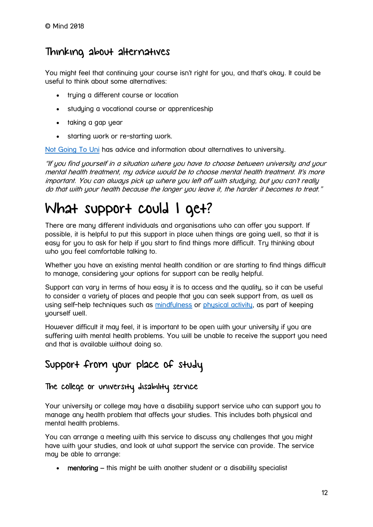## Thinking about alternatives

You might feel that continuing your course isn't right for you, and that's okay. It could be useful to think about some alternatives:

- trying a different course or location
- studying a vocational course or apprenticeship
- taking a gap year
- starting work or re-starting work.

[Not Going To Uni](http://notgoingtouni.co.uk/) has advice and information about alternatives to university.

"If you find yourself in a situation where you have to choose between university and your mental health treatment, my advice would be to choose mental health treatment. It's more important. You can always pick up where you left off with studying, but you can't really do that with your health because the longer you leave it, the harder it becomes to treat."

## <span id="page-11-0"></span>What support could I get?

There are many different individuals and organisations who can offer you support. If possible, it is helpful to put this support in place when things are going well, so that it is easy for you to ask for help if you start to find things more difficult. Try thinking about who you feel comfortable talking to.

Whether you have an existing mental health condition or are starting to find things difficult to manage, considering your options for support can be really helpful.

Support can vary in terms of how easy it is to access and the quality, so it can be useful to consider a variety of places and people that you can seek support from, as well as using self-help techniques such as [mindfulness](https://www.mind.org.uk/information-support/drugs-and-treatments/mindfulness/) or [physical activity,](https://www.mind.org.uk/information-support/tips-for-everyday-living/physical-activity-and-your-mental-health/) as part of keeping uourself well.

However difficult it may feel, it is important to be open with your university if you are suffering with mental health problems. You will be unable to receive the support you need and that is available without doing so.

## Support from your place of study

#### The college or university disability service

Your university or college may have a disability support service who can support you to manage any health problem that affects your studies. This includes both physical and mental health problems.

You can arrange a meeting with this service to discuss any challenges that you might have with your studies, and look at what support the service can provide. The service may be able to arrange:

• mentoring – this might be with another student or a disability specialist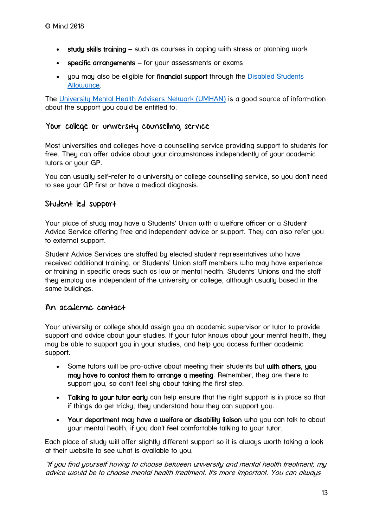- study skills training such as courses in coping with stress or planning work
- **specific arrangements** for your assessments or exams
- you may also be eligible for financial support through the Disabled Students [Allowance.](http://www.yourdsa.com/)

The [University Mental Health Advisers Network \(UMHAN\)](http://www.umhan.com/) is a good source of information about the support you could be entitled to.

#### Your college or university counselling service

Most universities and colleges have a counselling service providing support to students for free. They can offer advice about your circumstances independently of your academic tutors or your GP.

You can usually self-refer to a university or college counselling service, so you don't need to see your GP first or have a medical diagnosis.

#### Student led support

Your place of study may have a Students' Union with a welfare officer or a Student Advice Service offering free and independent advice or support. They can also refer you to external support.

Student Advice Services are staffed by elected student representatives who have received additional training, or Students' Union staff members who may have experience or training in specific areas such as law or mental health. Students' Unions and the staff they employ are independent of the university or college, although usually based in the same buildings.

#### An academic contact

Your university or college should assign you an academic supervisor or tutor to provide support and advice about your studies. If your tutor knows about your mental health, they may be able to support you in your studies, and help you access further academic support.

- Some tutors will be pro-active about meeting their students but with others, you may have to contact them to arrange a meeting. Remember, they are there to support you, so don't feel shy about taking the first step.
- Talking to your tutor early can help ensure that the right support is in place so that if things do get tricky, they understand how they can support you.
- Your department may have a welfare or disability liaison who you can talk to about your mental health, if you don't feel comfortable talking to your tutor.

Each place of study will offer slightly different support so it is always worth taking a look at their website to see what is available to you.

"If you find yourself having to choose between university and mental health treatment, my advice would be to choose mental health treatment. It's more important. You can always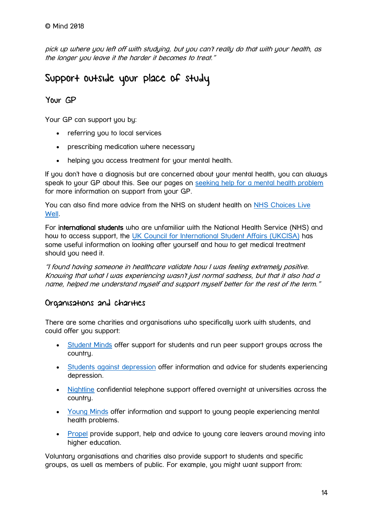pick up where you left off with studying, but you can't really do that with your health, as the longer you leave it the harder it becomes to treat."

## Support outside your place of study

#### Your GP

Your GP can support you by:

- referring you to local services
- prescribing medication where necessary
- helping you access treatment for your mental health.

If you don't have a diagnosis but are concerned about your mental health, you can always speak to your GP about this. See our pages on [seeking help for a mental health problem](https://www.mind.org.uk/information-support/guides-to-support-and-services/seeking-help-for-a-mental-health-problem/#.VjZbIbfhBQI) for more information on support from your GP.

You can also find more advice from the NHS on student health on [NHS Choices Live](http://www.nhs.uk/Livewell/studenthealth/Pages/Studenthealthhome.aspx)  [Well.](http://www.nhs.uk/Livewell/studenthealth/Pages/Studenthealthhome.aspx)

For international students who are unfamiliar with the National Health Service (NHS) and how to access support, the [UK Council for International Student Affairs \(UKCISA\)](https://www.ukcisa.org.uk/Information--Advice/Studying--living-in-the-UK/Health-and-healthcare) has some useful information on looking after yourself and how to get medical treatment should you need it.

"I found having someone in healthcare validate how I was feeling extremely positive. Knowing that what I was experiencing wasn't just normal sadness, but that it also had a name, helped me understand myself and support myself better for the rest of the term."

#### Organisations and charities

There are some charities and organisations who specifically work with students, and could offer you support:

- [Student Minds](http://www.studentminds.org.uk/) offer support for students and run peer support groups across the country.
- [Students against depression](http://studentsagainstdepression.org/) offer information and advice for students experiencing depression.
- [Nightline](http://nightline.ac.uk/) confidential telephone support offered overnight at universities across the country.
- [Young Minds](https://www.youngminds.org.uk/) offer information and support to young people experiencing mental health problems.
- [Propel](http://propel.org.uk/UK/) provide support, help and advice to young care leavers around moving into higher education.

Voluntary organisations and charities also provide support to students and specific groups, as well as members of public. For example, you might want support from: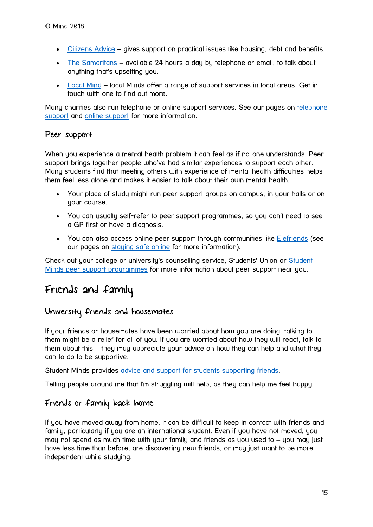- [Citizens Advice](https://www.citizensadvice.org.uk/) gives support on practical issues like housing, debt and benefits.
- [The Samaritans](http://www.samaritans.org/) available 24 hours a day by telephone or email, to talk about anything that's upsetting you.
- [Local Mind](https://www.mind.org.uk/information-support/local-minds/) local Minds offer a range of support services in local areas. Get in touch with one to find out more.

Many charities also run telephone or online support services. See our pages on [telephone](https://www.mind.org.uk/information-support/guides-to-support-and-services/crisis-services/telephone-support/)  [support](https://www.mind.org.uk/information-support/guides-to-support-and-services/crisis-services/telephone-support/) and [online support](https://www.mind.org.uk/information-support/tips-for-everyday-living/online-safety-and-support/finding-support/) for more information.

#### Peer support

When you experience a mental health problem it can feel as if no-one understands. Peer support brings together people who've had similar experiences to support each other. Many students find that meeting others with experience of mental health difficulties helps them feel less alone and makes it easier to talk about their own mental health.

- Your place of study might run peer support groups on campus, in your halls or on uour course.
- You can usually self-refer to peer support programmes, so you don't need to see a GP first or have a diagnosis.
- You can also access online peer support through communities like [Elefriends](https://www.elefriends.org.uk/) (see our pages on [staying safe online](https://www.mind.org.uk/information-support/tips-for-everyday-living/online-safety-and-support/) for more information).

Check out your college or university's counselling service, Students' Union or [Student](http://www.studentminds.org.uk/ourpeersupportprogrammes.html)  [Minds peer support programmes](http://www.studentminds.org.uk/ourpeersupportprogrammes.html) for more information about peer support near you.

## Friends and family

#### University friends and housemates

If your friends or housemates have been worried about how you are doing, talking to them might be a relief for all of you. If you are worried about how they will react, talk to them about this – they may appreciate your advice on how they can help and what they can to do to be supportive.

Student Minds provides [advice and support for students supporting friends.](http://www.studentminds.org.uk/look-after-your-mate.html)

Telling people around me that I'm struggling will help, as they can help me feel happy.

#### Friends or family back home

If you have moved away from home, it can be difficult to keep in contact with friends and family, particularly if you are an international student. Even if you have not moved, you may not spend as much time with your family and friends as you used to – you may just have less time than before, are discovering new friends, or may just want to be more independent while studying.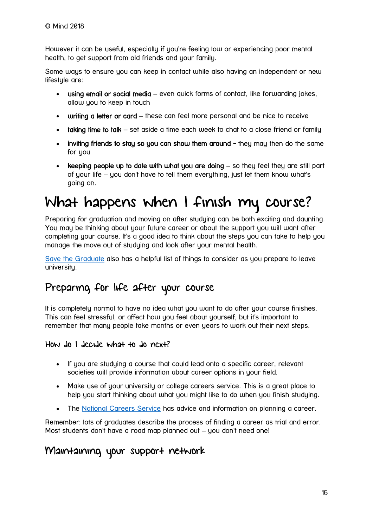However it can be useful, especially if you're feeling low or experiencing poor mental health, to get support from old friends and your family.

Some ways to ensure you can keep in contact while also having an independent or new lifestule are:

- using email or social media even quick forms of contact, like forwarding jokes, allow you to keep in touch
- writing a letter or card these can feel more personal and be nice to receive
- taking time to talk set aside a time each week to chat to a close friend or family
- inviting friends to stay so you can show them around they may then do the same for you
- keeping people up to date with what you are doing so they feel they are still part of your life – you don't have to tell them everything, just let them know what's going on.

## <span id="page-15-0"></span>What happens when I finish my course?

Preparing for graduation and moving on after studying can be both exciting and daunting. You may be thinking about your future career or about the support you will want after completing your course. It's a good idea to think about the steps you can take to help you manage the move out of studying and look after your mental health.

[Save the Graduate](http://www.savethegraduate.org/grad-blog/life-after-university.html) also has a helpful list of things to consider as you prepare to leave university.

## Preparing for life after your course

It is completely normal to have no idea what you want to do after your course finishes. This can feel stressful, or affect how you feel about yourself, but it's important to remember that many people take months or even years to work out their next steps.

#### How do I decide what to do next?

- If you are studying a course that could lead onto a specific career, relevant societies will provide information about career options in your field.
- Make use of your university or college careers service. This is a great place to help you start thinking about what you might like to do when you finish studying.
- The [National Careers Service](https://nationalcareersservice.direct.gov.uk/Pages/Home.aspx) has advice and information on planning a career.

Remember: lots of graduates describe the process of finding a career as trial and error. Most students don't have a road map planned out – you don't need one!

### Maintaining your support network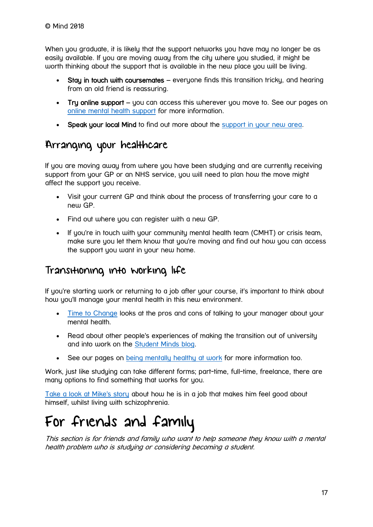When you graduate, it is likely that the support networks you have may no longer be as easily available. If you are moving away from the city where you studied, it might be worth thinking about the support that is available in the new place you will be living.

- Stay in touch with coursemates everyone finds this transition tricky, and hearing from an old friend is reassuring.
- Try online support you can access this wherever you move to. See our pages on [online mental health support](https://www.mind.org.uk/information-support/tips-for-everyday-living/online-safety-and-support/) for more information.
- Speak your local Mind to find out more about the [support in your new area.](https://www.mind.org.uk/information-support/local-minds/)

## Arranging your healthcare

If you are moving away from where you have been studying and are currently receiving support from your GP or an NHS service, you will need to plan how the move might affect the support you receive.

- Visit your current GP and think about the process of transferring your care to a new GP.
- Find out where you can register with a new GP.
- If you're in touch with your community mental health team (CMHT) or crisis team, make sure you let them know that you're moving and find out how you can access the support you want in your new home.

## Transitioning into working life

If you're starting work or returning to a job after your course, it's important to think about how you'll manage your mental health in this new environment.

- [Time to Change](http://www.time-to-change.org.uk/your-organisation/support-workplace/telling-my-manager) looks at the pros and cons of talking to your manager about your mental health.
- Read about other people's experiences of making the transition out of university and into work on the [Student Minds blog.](https://studentmindsorg.blogspot.co.uk/search/label/Leaving%20Uni)
- See our pages on [being mentally healthy at work](https://www.mind.org.uk/information-support/tips-for-everyday-living/workplace-mental-health/) for more information too.

Work, just like studying can take different forms; part-time, full-time, freelance, there are many options to find something that works for you.

[Take a look at Mike's story](https://www.mind.org.uk/information-support/your-stories/schizophrenia-what-i-wish-someone-had-told-me/#.W2q43ChKiUk) about how he is in a job that makes him feel good about himself, whilst living with schizophrenia.

## <span id="page-16-0"></span>For friends and family

This section is for friends and family who want to help someone they know with a mental health problem who is studying or considering becoming a student.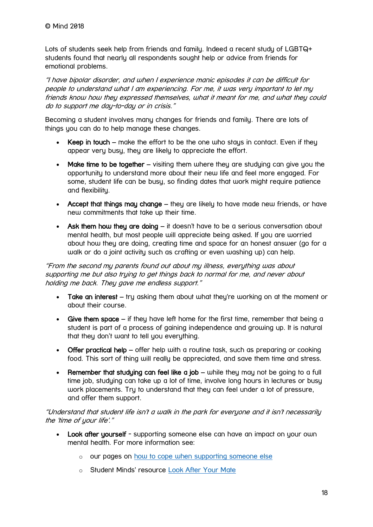Lots of students seek help from friends and family. Indeed a recent study of LGBTQ+ students found that nearly all respondents sought help or advice from friends for emotional problems.

"I have bipolar disorder, and when I experience manic episodes it can be difficult for people to understand what I am experiencing. For me, it was very important to let my friends know how they expressed themselves, what it meant for me, and what they could do to support me day-to-day or in crisis."

Becoming a student involves many changes for friends and family. There are lots of things you can do to help manage these changes.

- Keep in touch make the effort to be the one who stays in contact. Even if they appear very busy, they are likely to appreciate the effort.
- Make time to be together visiting them where they are studying can give you the opportunity to understand more about their new life and feel more engaged. For some, student life can be busy, so finding dates that work might require patience and flexibility.
- Accept that things may change they are likely to have made new friends, or have new commitments that take up their time.
- Ask them how they are doing it doesn't have to be a serious conversation about mental health, but most people will appreciate being asked. If you are worried about how they are doing, creating time and space for an honest answer (go for a walk or do a joint activity such as crafting or even washing up) can help.

"From the second my parents found out about my illness, everything was about supporting me but also trying to get things back to normal for me, and never about holding me back. They gave me endless support."

- Take an interest try asking them about what they're working on at the moment or about their course.
- Give them space if they have left home for the first time, remember that being a student is part of a process of gaining independence and growing up. It is natural that they don't want to tell you everything.
- Offer practical help offer help with a routine task, such as preparing or cooking food. This sort of thing will really be appreciated, and save them time and stress.
- Remember that studying can feel like a job while they may not be going to a full time job, studying can take up a lot of time, involve long hours in lectures or busy work placements. Try to understand that they can feel under a lot of pressure, and offer them support.

"Understand that student life isn't a walk in the park for everyone and it isn't necessarily the 'time of your life'."

- Look after yourself supporting someone else can have an impact on your own mental health. For more information see:
	- o our pages on [how to cope when supporting someone else](https://www.mind.org.uk/information-support/helping-someone-else/how-to-cope-when-supporting-someone-else/)
	- o Student Minds' resource [Look After Your Mate](http://www.studentminds.org.uk/look-after-your-mate.html)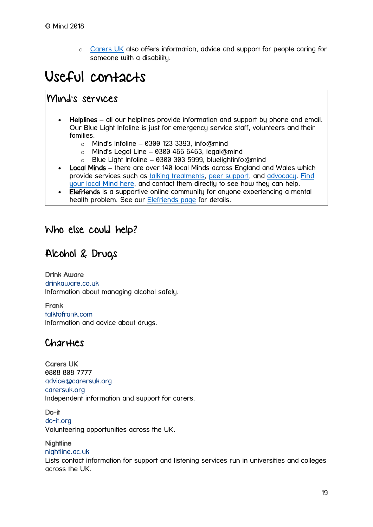o [Carers UK](http://www.carersuk.org/) also offers information, advice and support for people caring for someone with a disability.

## <span id="page-18-0"></span>Useful contacts

## Mind's services

- Helplines all our helplines provide information and support by phone and email. Our Blue Light Infoline is just for emergency service staff, volunteers and their families.
	- $\circ$  Mind's Infoline 0300 123 3393, info@mind
	- $\circ$  Mind's Legal Line 0300 466 6463, legal@mind
	- $\circ$  Blue Light Infoline 0300 303 5999, bluelightinfo@mind
- Local Minds there are over 140 local Minds across England and Wales which provide services such as [talking treatments,](https://www.mind.org.uk/information-support/drugs-and-treatments/talking-treatments/) [peer support,](https://www.mind.org.uk/information-support/drugs-and-treatments/peer-support/) and [advocacy.](https://www.mind.org.uk/information-support/guides-to-support-and-services/advocacy/) [Find](https://www.mind.org.uk/information-support/local-minds/)  [your local Mind here,](https://www.mind.org.uk/information-support/local-minds/) and contact them directly to see how they can help.
- Elefriends is a supportive online community for anyone experiencing a mental health problem. See our [Elefriends page](https://www.mind.org.uk/elefriends/) for details.

### Who else could help?

## Alcohol & Drugs

Drink Aware [drinkaware.co.uk](https://www.drinkaware.co.uk/) Information about managing alcohol safely.

Frank [talktofrank.com](http://www.talktofrank.com/) Information and advice about drugs.

## **Charities**

Carers UK 0808 808 7777 [advice@carersuk.org](mailto:advice@carersuk.org) [carersuk.org](http://www.carersuk.org/) Independent information and support for carers.

Do-it [do-it.org](https://do-it.org/) Volunteering opportunities across the UK.

#### **Nightline**

#### [nightline.ac.uk](http://nightline.ac.uk/)

Lists contact information for support and listening services run in universities and colleges across the UK.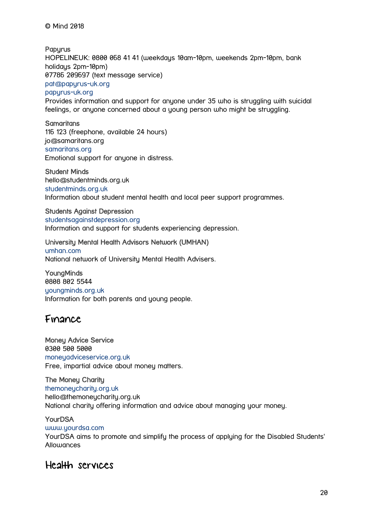© Mind 2018

**Papurus** HOPELINEUK: 0800 068 41 41 (weekdays 10am-10pm, weekends 2pm-10pm, bank holidays 2pm-10pm) 07786 209697 (text message service) [pat@papyrus-uk.org](mailto:pat@papyrus-uk.org) [papyrus-uk.org](https://papyrus-uk.org/)

Provides information and support for anyone under 35 who is struggling with suicidal feelings, or anyone concerned about a young person who might be struggling.

**Samaritans** 116 123 (freephone, available 24 hours) jo@samaritans.org [samaritans.org](http://www.samaritans.org/) Emotional support for anyone in distress.

Student Minds hello@studentminds.org.uk [studentminds.org.uk](http://www.studentminds.org.uk/) Information about student mental health and local peer support programmes.

#### Students Against Depression [studentsagainstdepression.org](http://studentsagainstdepression.org/) Information and support for students experiencing depression.

#### University Mental Health Advisors Network (UMHAN)

[umhan.com](http://www.umhan.com/) National network of University Mental Health Advisers.

YoungMinds 0808 802 5544 [youngminds.org.uk](https://www.youngminds.org.uk/) Information for both parents and young people.

### Finance

Money Advice Service 0300 500 5000 [moneyadviceservice.org.uk](https://www.moneyadviceservice.org.uk/) Free, impartial advice about money matters.

#### The Money Charity

[themoneycharity.org.uk](http://themoneycharity.org.uk/advice-information/student-moneymanual-get-free-copy/) hello@themoneycharity.org.uk National charity offering information and advice about managing your money.

#### **YourDSA**

[www.yourdsa.com](http://www.yourdsa.com/)

YourDSA aims to promote and simplify the process of applying for the Disabled Students' **Allowances** 

### Health services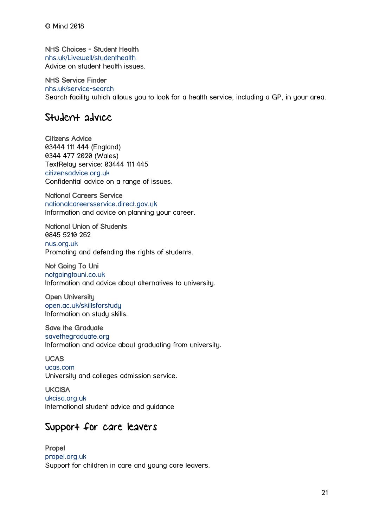NHS Choices - Student Health

[nhs.uk/Livewell/studenthealth](http://www.nhs.uk/Livewell/studenthealth/) Advice on student health issues.

#### NHS Service Finder

[nhs.uk/service-search](http://www.nhs.uk/service-search) Search facility which allows you to look for a health service, including a GP, in your area.

### Student advice

Citizens Advice 03444 111 444 (England) 0344 477 2020 (Wales) TextRelay service: 03444 111 445 [citizensadvice.org.uk](http://www.citizensadvice.org.uk/) Confidential advice on a range of issues.

National Careers Service [nationalcareersservice.direct.gov.uk](https://nationalcareersservice.direct.gov.uk/Pages/Home.aspx) Information and advice on planning your career.

National Union of Students 0845 5210 262 [nus.org.uk](http://www.nus.org.uk/) Promoting and defending the rights of students.

Not Going To Uni [notgoingtouni.co.uk](http://www.notgoingtouni.co.uk/) Information and advice about alternatives to university.

Open University [open.ac.uk/skillsforstudy](https://www.open.ac.uk/skillsforstudy) Information on study skills.

#### Save the Graduate

[savethegraduate.org](http://www.savethegraduate.org/grad-blog/life-after-university.html) Information and advice about graduating from university.

#### UCAS

[ucas.com](https://www.ucas.com/) University and colleges admission service.

**UKCISA** [ukcisa.org.uk](https://www.ukcisa.org.uk/)

International student advice and guidance

## Support for care leavers

Propel [propel.org.uk](http://propel.org.uk/UK/) Support for children in care and young care leavers.